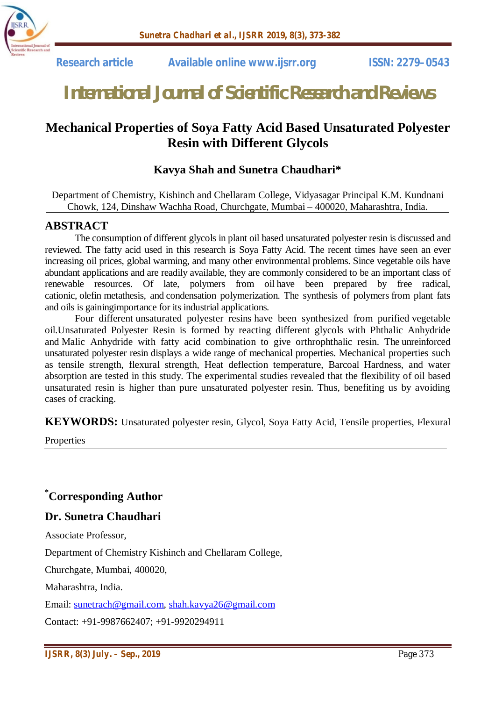

# *International Journal of Scientific Research and Reviews*

### **Mechanical Properties of Soya Fatty Acid Based Unsaturated Polyester Resin with Different Glycols**

### **Kavya Shah and Sunetra Chaudhari\***

Department of Chemistry, Kishinch and Chellaram College, Vidyasagar Principal K.M. Kundnani Chowk, 124, Dinshaw Wachha Road, Churchgate, Mumbai – 400020, Maharashtra, India.

### **ABSTRACT**

The consumption of different glycols in plant oil based unsaturated polyester resin is discussed and reviewed. The fatty acid used in this research is Soya Fatty Acid. The recent times have seen an ever increasing oil prices, global warming, and many other environmental problems. Since vegetable oils have abundant applications and are readily available, they are commonly considered to be an important class of renewable resources. Of late, polymers from oil have been prepared by free radical, cationic, olefin metathesis, and condensation polymerization. The synthesis of polymers from plant fats and oils is gainingimportance for its industrial applications.

Four different unsaturated polyester resins have been synthesized from purified vegetable oil.Unsaturated Polyester Resin is formed by reacting different glycols with Phthalic Anhydride and Malic Anhydride with fatty acid combination to give orthrophthalic resin. The unreinforced unsaturated polyester resin displays a wide range of mechanical properties. Mechanical properties such as tensile strength, flexural strength, Heat deflection temperature, Barcoal Hardness, and water absorption are tested in this study. The experimental studies revealed that the flexibility of oil based unsaturated resin is higher than pure unsaturated polyester resin. Thus, benefiting us by avoiding cases of cracking.

**KEYWORDS:** Unsaturated polyester resin, Glycol, Soya Fatty Acid, Tensile properties, Flexural

Properties

### **\*Corresponding Author**

### **Dr. Sunetra Chaudhari**

Associate Professor,

Department of Chemistry Kishinch and Chellaram College,

Churchgate, Mumbai, 400020,

Maharashtra, India.

Email: sunetrach@gmail.com, shah.kavya26@gmail.com

Contact: +91-9987662407; +91-9920294911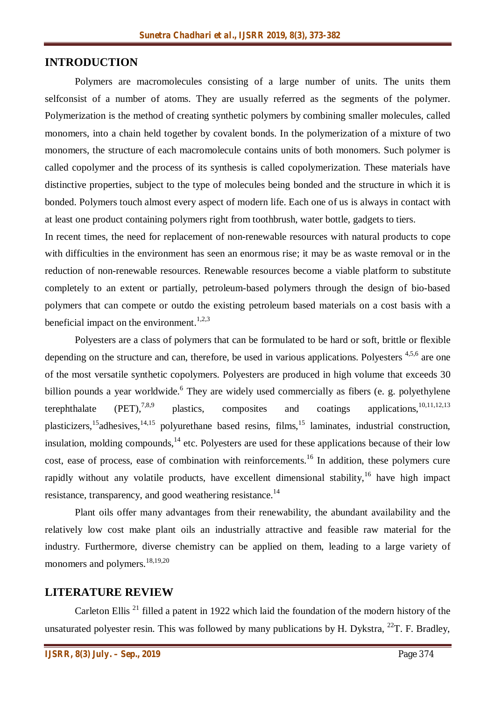### **INTRODUCTION**

Polymers are macromolecules consisting of a large number of units. The units them selfconsist of a number of atoms. They are usually referred as the segments of the polymer. Polymerization is the method of creating synthetic polymers by combining smaller molecules, called monomers, into a chain held together by covalent bonds. In the polymerization of a mixture of two monomers, the structure of each macromolecule contains units of both monomers. Such polymer is called copolymer and the process of its synthesis is called copolymerization. These materials have distinctive properties, subject to the type of molecules being bonded and the structure in which it is bonded. Polymers touch almost every aspect of modern life. Each one of us is always in contact with at least one product containing polymers right from toothbrush, water bottle, gadgets to tiers.

In recent times, the need for replacement of non-renewable resources with natural products to cope with difficulties in the environment has seen an enormous rise; it may be as waste removal or in the reduction of non-renewable resources. Renewable resources become a viable platform to substitute completely to an extent or partially, petroleum-based polymers through the design of bio-based polymers that can compete or outdo the existing petroleum based materials on a cost basis with a beneficial impact on the environment.<sup>1,2,3</sup>

Polyesters are a class of polymers that can be formulated to be hard or soft, brittle or flexible depending on the structure and can, therefore, be used in various applications. Polyesters <sup>4,5,6</sup> are one of the most versatile synthetic copolymers. Polyesters are produced in high volume that exceeds 30 billion pounds a year worldwide.<sup>6</sup> They are widely used commercially as fibers (e. g. polyethylene terephthalate  $(PET)$ ,<sup>7,8,9</sup> 7,8,9 plastics, composites and coatings applications, 10,11,12,13 plasticizers,<sup>15</sup>adhesives,<sup>14,15</sup> polyurethane based resins, films,<sup>15</sup> laminates, industrial construction, insulation, molding compounds, <sup>14</sup> etc. Polyesters are used for these applications because of their low cost, ease of process, ease of combination with reinforcements.<sup>16</sup> In addition, these polymers cure rapidly without any volatile products, have excellent dimensional stability, <sup>16</sup> have high impact resistance, transparency, and good weathering resistance.<sup>14</sup>

Plant oils offer many advantages from their renewability, the abundant availability and the relatively low cost make plant oils an industrially attractive and feasible raw material for the industry. Furthermore, diverse chemistry can be applied on them, leading to a large variety of monomers and polymers.<sup>18,19,20</sup>

### **LITERATURE REVIEW**

Carleton Ellis<sup>21</sup> filled a patent in 1922 which laid the foundation of the modern history of the unsaturated polyester resin. This was followed by many publications by H. Dykstra,  $^{22}$ T. F. Bradley,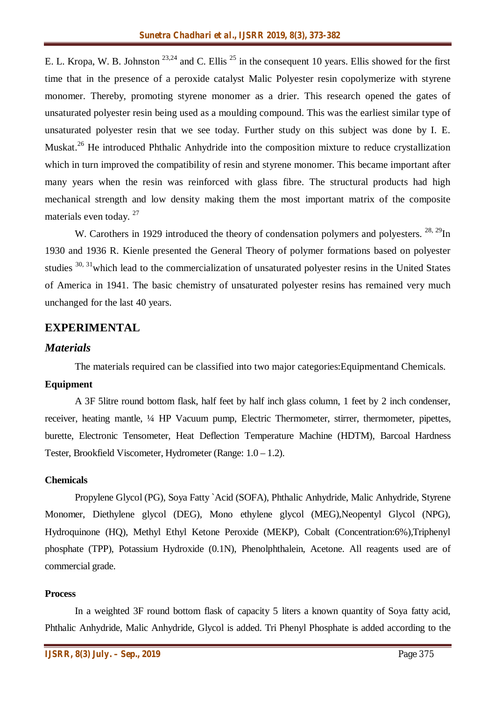E. L. Kropa, W. B. Johnston  $^{23,24}$  and C. Ellis  $^{25}$  in the consequent 10 years. Ellis showed for the first time that in the presence of a peroxide catalyst Malic Polyester resin copolymerize with styrene monomer. Thereby, promoting styrene monomer as a drier. This research opened the gates of unsaturated polyester resin being used as a moulding compound. This was the earliest similar type of unsaturated polyester resin that we see today. Further study on this subject was done by I. E. Muskat.<sup>26</sup> He introduced Phthalic Anhydride into the composition mixture to reduce crystallization which in turn improved the compatibility of resin and styrene monomer. This became important after many years when the resin was reinforced with glass fibre. The structural products had high mechanical strength and low density making them the most important matrix of the composite materials even today.<sup>27</sup>

W. Carothers in 1929 introduced the theory of condensation polymers and polyesters.  $^{28, 29}$ In 1930 and 1936 R. Kienle presented the General Theory of polymer formations based on polyester studies <sup>30, 31</sup>which lead to the commercialization of unsaturated polyester resins in the United States of America in 1941. The basic chemistry of unsaturated polyester resins has remained very much unchanged for the last 40 years.

### **EXPERIMENTAL**

### *Materials*

The materials required can be classified into two major categories:Equipmentand Chemicals.

### **Equipment**

A 3F 5litre round bottom flask, half feet by half inch glass column, 1 feet by 2 inch condenser, receiver, heating mantle, ¼ HP Vacuum pump, Electric Thermometer, stirrer, thermometer, pipettes, burette, Electronic Tensometer, Heat Deflection Temperature Machine (HDTM), Barcoal Hardness Tester, Brookfield Viscometer, Hydrometer (Range: 1.0 – 1.2).

### **Chemicals**

Propylene Glycol (PG), Soya Fatty `Acid (SOFA), Phthalic Anhydride, Malic Anhydride, Styrene Monomer, Diethylene glycol (DEG), Mono ethylene glycol (MEG), Neopentyl Glycol (NPG), Hydroquinone (HQ), Methyl Ethyl Ketone Peroxide (MEKP), Cobalt (Concentration:6%),Triphenyl phosphate (TPP), Potassium Hydroxide (0.1N), Phenolphthalein, Acetone. All reagents used are of commercial grade.

### **Process**

In a weighted 3F round bottom flask of capacity 5 liters a known quantity of Soya fatty acid, Phthalic Anhydride, Malic Anhydride, Glycol is added. Tri Phenyl Phosphate is added according to the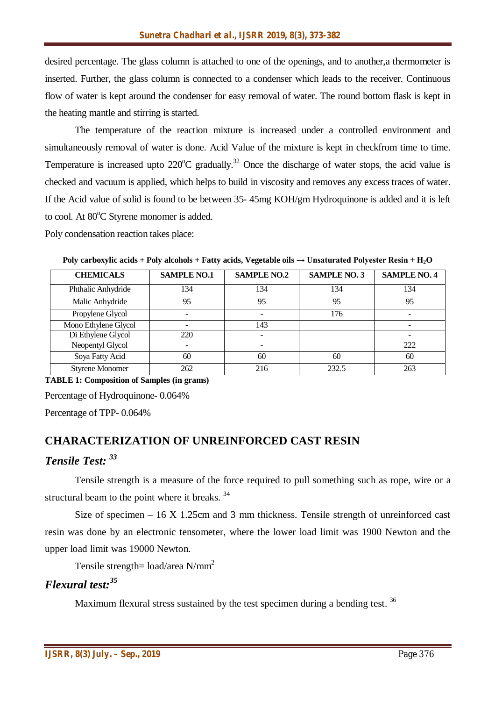desired percentage. The glass column is attached to one of the openings, and to another,a thermometer is inserted. Further, the glass column is connected to a condenser which leads to the receiver. Continuous flow of water is kept around the condenser for easy removal of water. The round bottom flask is kept in the heating mantle and stirring is started.

The temperature of the reaction mixture is increased under a controlled environment and simultaneously removal of water is done. Acid Value of the mixture is kept in checkfrom time to time. Temperature is increased upto  $220^{\circ}$ C gradually.<sup>32</sup> Once the discharge of water stops, the acid value is checked and vacuum is applied, which helps to build in viscosity and removes any excess traces of water. If the Acid value of solid is found to be between 35- 45mg KOH/gm Hydroquinone is added and it is left to cool. At  $80^{\circ}$ C Styrene monomer is added.

Poly condensation reaction takes place:

| <b>CHEMICALS</b>       | <b>SAMPLE NO.1</b> | <b>SAMPLE NO.2</b> | <b>SAMPLE NO.3</b> | <b>SAMPLE NO. 4</b> |
|------------------------|--------------------|--------------------|--------------------|---------------------|
| Phthalic Anhydride     | 134                | 134                | 134                | 134                 |
| Malic Anhydride        | 95                 | 95                 | 95                 | 95                  |
| Propylene Glycol       |                    |                    | 176                |                     |
| Mono Ethylene Glycol   |                    | 143                |                    |                     |
| Di Ethylene Glycol     | 220                |                    |                    |                     |
| Neopentyl Glycol       |                    |                    |                    | 222                 |
| Soya Fatty Acid        | 60                 | 60                 | 60                 | 60                  |
| <b>Styrene Monomer</b> | 262                | 216                | 232.5              | 263                 |

**Poly carboxylic acids** + Poly alcohols + Fatty acids, Vegetable oils  $\rightarrow$  Unsaturated Polyester Resin + H<sub>2</sub>O

**TABLE 1: Composition of Samples (in grams)** Percentage of Hydroquinone- 0.064%

Percentage of TPP- 0.064%

### **CHARACTERIZATION OF UNREINFORCED CAST RESIN**

### *Tensile Test: <sup>33</sup>*

Tensile strength is a measure of the force required to pull something such as rope, wire or a structural beam to the point where it breaks.  $34$ 

Size of specimen – 16 X 1.25cm and 3 mm thickness. Tensile strength of unreinforced cast resin was done by an electronic tensometer, where the lower load limit was 1900 Newton and the upper load limit was 19000 Newton.

Tensile strength= load/area N/mm<sup>2</sup>

### *Flexural test:<sup>35</sup>*

Maximum flexural stress sustained by the test specimen during a bending test.<sup>36</sup>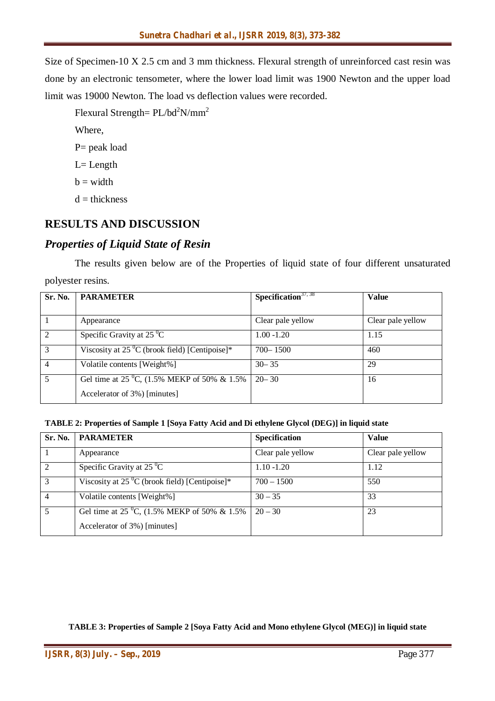Size of Specimen-10 X 2.5 cm and 3 mm thickness. Flexural strength of unreinforced cast resin was done by an electronic tensometer, where the lower load limit was 1900 Newton and the upper load limit was 19000 Newton. The load vs deflection values were recorded.

Flexural Strength=  $PL/bd^2N/mm^2$ Where,

P= peak load

- L= Length
- $b = width$
- $d =$ thickness

### **RESULTS AND DISCUSSION**

### *Properties of Liquid State of Resin*

The results given below are of the Properties of liquid state of four different unsaturated polyester resins.

| Sr. No.       | <b>PARAMETER</b>                                             | Specification <sup>37, 38</sup> | <b>Value</b>      |
|---------------|--------------------------------------------------------------|---------------------------------|-------------------|
|               |                                                              |                                 |                   |
|               | Appearance                                                   | Clear pale yellow               | Clear pale yellow |
| $\mathcal{D}$ | Specific Gravity at $25\,^0C$                                | $1.00 - 1.20$                   | 1.15              |
| 3             | Viscosity at 25 $\mathrm{^{0}C}$ (brook field) [Centipoise]* | $700 - 1500$                    | 460               |
| 4             | Volatile contents [Weight%]                                  | $30 - 35$                       | 29                |
| 5             | Gel time at 25 $^0C$ , (1.5% MEKP of 50% & 1.5%)             | $20 - 30$                       | 16                |
|               | Accelerator of 3%) [minutes]                                 |                                 |                   |

**TABLE 2: Properties of Sample 1 [Soya Fatty Acid and Di ethylene Glycol (DEG)] in liquid state**

| Sr. No.        | <b>PARAMETER</b>                                           | Specification     | <b>Value</b>      |
|----------------|------------------------------------------------------------|-------------------|-------------------|
|                | Appearance                                                 | Clear pale yellow | Clear pale yellow |
|                | Specific Gravity at $25\,^0C$                              | $1.10 - 1.20$     | 1.12              |
| 3              | Viscosity at 25 $\mathrm{^0C}$ (brook field) [Centipoise]* | $700 - 1500$      | 550               |
| $\overline{4}$ | Volatile contents [Weight%]                                | $30 - 35$         | 33                |
| 5              | Gel time at 25 $\rm{^0C}$ , (1.5% MEKP of 50% & 1.5%)      | $20 - 30$         | 23                |
|                | Accelerator of 3%) [minutes]                               |                   |                   |

**TABLE 3: Properties of Sample 2 [Soya Fatty Acid and Mono ethylene Glycol (MEG)] in liquid state**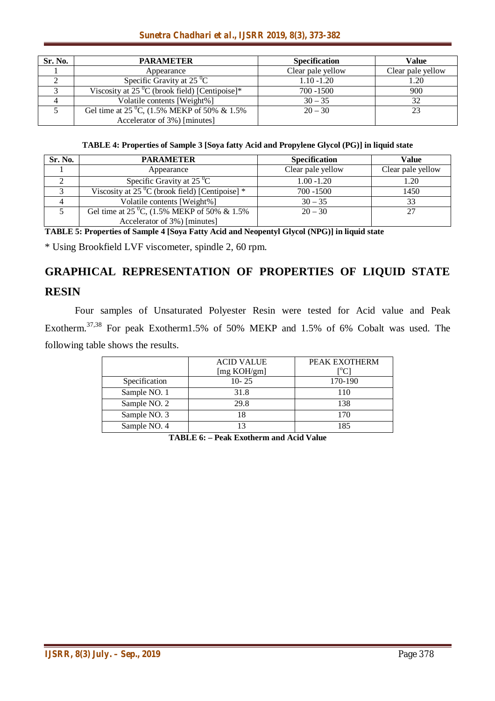#### *Sunetra Chadhari et al., IJSRR 2019, 8(3), 373-382*

| Sr. No. | <b>PARAMETER</b>                                           | <b>Specification</b> | Value             |
|---------|------------------------------------------------------------|----------------------|-------------------|
|         | Appearance                                                 | Clear pale yellow    | Clear pale yellow |
|         | Specific Gravity at $25^{\circ}$ C                         | $1.10 - 1.20$        | l.20              |
|         | Viscosity at 25 $\mathrm{^0C}$ (brook field) [Centipoise]* | 700 - 1500           | 900               |
|         | Volatile contents [Weight%]                                | $30 - 35$            | 32                |
|         | Gel time at 25 <sup>0</sup> C, (1.5% MEKP of 50% & 1.5%)   | $20 - 30$            | 23                |
|         | Accelerator of 3%) [minutes]                               |                      |                   |

**TABLE 4: Properties of Sample 3 [Soya fatty Acid and Propylene Glycol (PG)] in liquid state**

| Sr. No. | <b>PARAMETER</b>                                                       | <b>Specification</b> | Value             |
|---------|------------------------------------------------------------------------|----------------------|-------------------|
|         | Appearance                                                             | Clear pale yellow    | Clear pale yellow |
|         | Specific Gravity at $25\,^0C$                                          | $1.00 - 1.20$        | 1.20              |
|         | Viscosity at 25 $\mathrm{^0C}$ (brook field) [Centipoise] $*$          | 700 - 1500           | 1450              |
|         | Volatile contents [Weight%]                                            | $30 - 35$            | 33                |
|         | Gel time at 25 <sup>o</sup> C, $(1.5\% \text{ MEKP of } 50\% \& 1.5\%$ | $20 - 30$            | 27                |
|         | Accelerator of 3%) [minutes]                                           |                      |                   |

**TABLE 5: Properties of Sample 4 [Soya Fatty Acid and Neopentyl Glycol (NPG)] in liquid state**

\* Using Brookfield LVF viscometer, spindle 2, 60 rpm.

# **GRAPHICAL REPRESENTATION OF PROPERTIES OF LIQUID STATE RESIN**

Four samples of Unsaturated Polyester Resin were tested for Acid value and Peak Exotherm.<sup>37,38</sup> For peak Exotherm1.5% of 50% MEKP and 1.5% of 6% Cobalt was used. The following table shows the results.

|               | <b>ACID VALUE</b> | PEAK EXOTHERM |
|---------------|-------------------|---------------|
|               | [mg KOH/gm]       |               |
| Specification | $10 - 25$         | 170-190       |
| Sample NO. 1  | 31.8              | 110           |
| Sample NO. 2  | 29.8              | 138           |
| Sample NO. 3  | 18                | 170           |
| Sample NO. 4  | 13                | 185           |

**TABLE 6: – Peak Exotherm and Acid Value**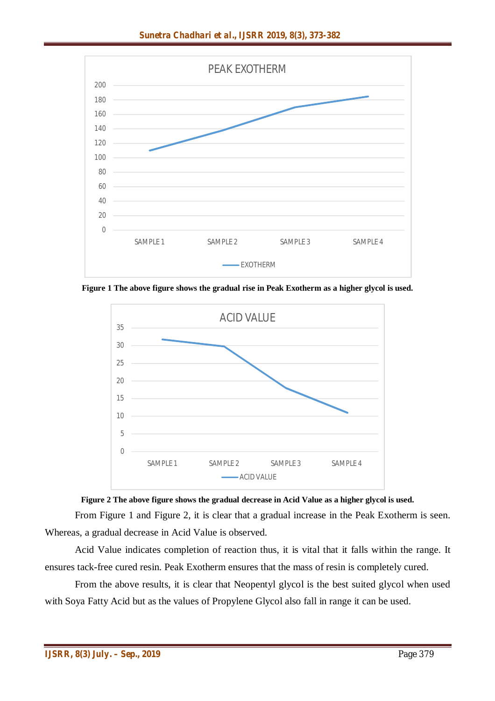

**Figure 1 The above figure shows the gradual rise in Peak Exotherm as a higher glycol is used.**



#### **Figure 2 The above figure shows the gradual decrease in Acid Value as a higher glycol is used.**

From Figure 1 and Figure 2, it is clear that a gradual increase in the Peak Exotherm is seen. Whereas, a gradual decrease in Acid Value is observed.

Acid Value indicates completion of reaction thus, it is vital that it falls within the range. It ensures tack-free cured resin. Peak Exotherm ensures that the mass of resin is completely cured.

From the above results, it is clear that Neopentyl glycol is the best suited glycol when used with Soya Fatty Acid but as the values of Propylene Glycol also fall in range it can be used.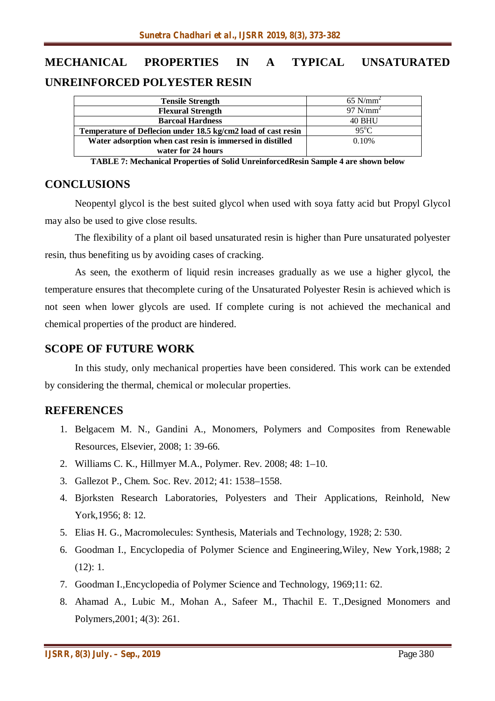## **MECHANICAL PROPERTIES IN A TYPICAL UNSATURATED UNREINFORCED POLYESTER RESIN**

| <b>Tensile Strength</b>                                       | $65$ N/mm <sup>2</sup> |
|---------------------------------------------------------------|------------------------|
| <b>Flexural Strength</b>                                      | $97$ N/mm <sup>2</sup> |
| <b>Barcoal Hardness</b>                                       | <b>40 BHU</b>          |
| Temperature of Deflecion under 18.5 kg/cm2 load of cast resin | $95^{\circ}$ C         |
| Water adsorption when cast resin is immersed in distilled     | 0.10%                  |
| water for 24 hours                                            |                        |

**TABLE 7: Mechanical Properties of Solid UnreinforcedResin Sample 4 are shown below**

### **CONCLUSIONS**

Neopentyl glycol is the best suited glycol when used with soya fatty acid but Propyl Glycol may also be used to give close results.

The flexibility of a plant oil based unsaturated resin is higher than Pure unsaturated polyester resin, thus benefiting us by avoiding cases of cracking.

As seen, the exotherm of liquid resin increases gradually as we use a higher glycol, the temperature ensures that thecomplete curing of the Unsaturated Polyester Resin is achieved which is not seen when lower glycols are used. If complete curing is not achieved the mechanical and chemical properties of the product are hindered.

### **SCOPE OF FUTURE WORK**

In this study, only mechanical properties have been considered. This work can be extended by considering the thermal, chemical or molecular properties.

### **REFERENCES**

- 1. Belgacem M. N., Gandini A., Monomers, Polymers and Composites from Renewable Resources, Elsevier, 2008; 1: 39-66.
- 2. Williams C. K., Hillmyer M.A., Polymer. Rev. 2008; 48: 1–10.
- 3. Gallezot P., Chem. Soc. Rev. 2012; 41: 1538–1558.
- 4. Bjorksten Research Laboratories, Polyesters and Their Applications, Reinhold, New York,1956; 8: 12.
- 5. Elias H. G., Macromolecules: Synthesis, Materials and Technology, 1928; 2: 530.
- 6. Goodman I., Encyclopedia of Polymer Science and Engineering,Wiley, New York,1988; 2 (12): 1.
- 7. Goodman I.,Encyclopedia of Polymer Science and Technology, 1969;11: 62.
- 8. Ahamad A., Lubic M., Mohan A., Safeer M., Thachil E. T.,Designed Monomers and Polymers,2001; 4(3): 261.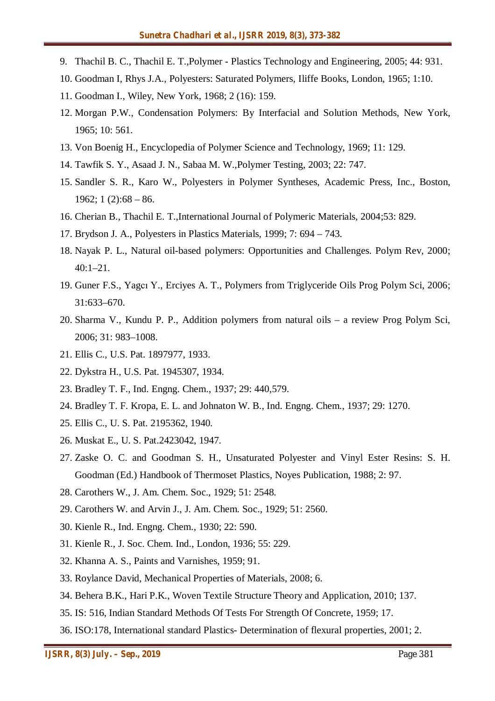- 9. Thachil B. C., Thachil E. T.,Polymer Plastics Technology and Engineering, 2005; 44: 931.
- 10. Goodman I, Rhys J.A., Polyesters: Saturated Polymers, Iliffe Books, London, 1965; 1:10.
- 11. Goodman I., Wiley, New York, 1968; 2 (16): 159.
- 12. Morgan P.W., Condensation Polymers: By Interfacial and Solution Methods, New York, 1965; 10: 561.
- 13. Von Boenig H., Encyclopedia of Polymer Science and Technology, 1969; 11: 129.
- 14. Tawfik S. Y., Asaad J. N., Sabaa M. W.,Polymer Testing, 2003; 22: 747.
- 15. Sandler S. R., Karo W., Polyesters in Polymer Syntheses, Academic Press, Inc., Boston,  $1962$ ; 1 (2):68 – 86.
- 16. Cherian B., Thachil E. T.,International Journal of Polymeric Materials, 2004;53: 829.
- 17. Brydson J. A., Polyesters in Plastics Materials, 1999; 7: 694 743.
- 18. Nayak P. L., Natural oil-based polymers: Opportunities and Challenges. Polym Rev, 2000; 40:1–21.
- 19. Guner F.S., Yagcı Y., Erciyes A. T., Polymers from Triglyceride Oils Prog Polym Sci, 2006; 31:633–670.
- 20. Sharma V., Kundu P. P., Addition polymers from natural oils a review Prog Polym Sci, 2006; 31: 983–1008.
- 21. Ellis C., U.S. Pat. 1897977, 1933.
- 22. Dykstra H., U.S. Pat. 1945307, 1934.
- 23. Bradley T. F., Ind. Engng. Chem., 1937; 29: 440,579.
- 24. Bradley T. F. Kropa, E. L. and Johnaton W. B., Ind. Engng. Chem., 1937; 29: 1270.
- 25. Ellis C., U. S. Pat. 2195362, 1940.
- 26. Muskat E., U. S. Pat.2423042, 1947.
- 27. Zaske O. C. and Goodman S. H., Unsaturated Polyester and Vinyl Ester Resins: S. H. Goodman (Ed.) Handbook of Thermoset Plastics, Noyes Publication, 1988; 2: 97.
- 28. Carothers W., J. Am. Chem. Soc., 1929; 51: 2548.
- 29. Carothers W. and Arvin J., J. Am. Chem. Soc., 1929; 51: 2560.
- 30. Kienle R., Ind. Engng. Chem., 1930; 22: 590.
- 31. Kienle R., J. Soc. Chem. Ind., London, 1936; 55: 229.
- 32. Khanna A. S., Paints and Varnishes, 1959; 91.
- 33. Roylance David, Mechanical Properties of Materials, 2008; 6.
- 34. Behera B.K., Hari P.K., Woven Textile Structure Theory and Application, 2010; 137.
- 35. IS: 516, Indian Standard Methods Of Tests For Strength Of Concrete, 1959; 17.
- 36. ISO:178, International standard Plastics- Determination of flexural properties, 2001; 2.